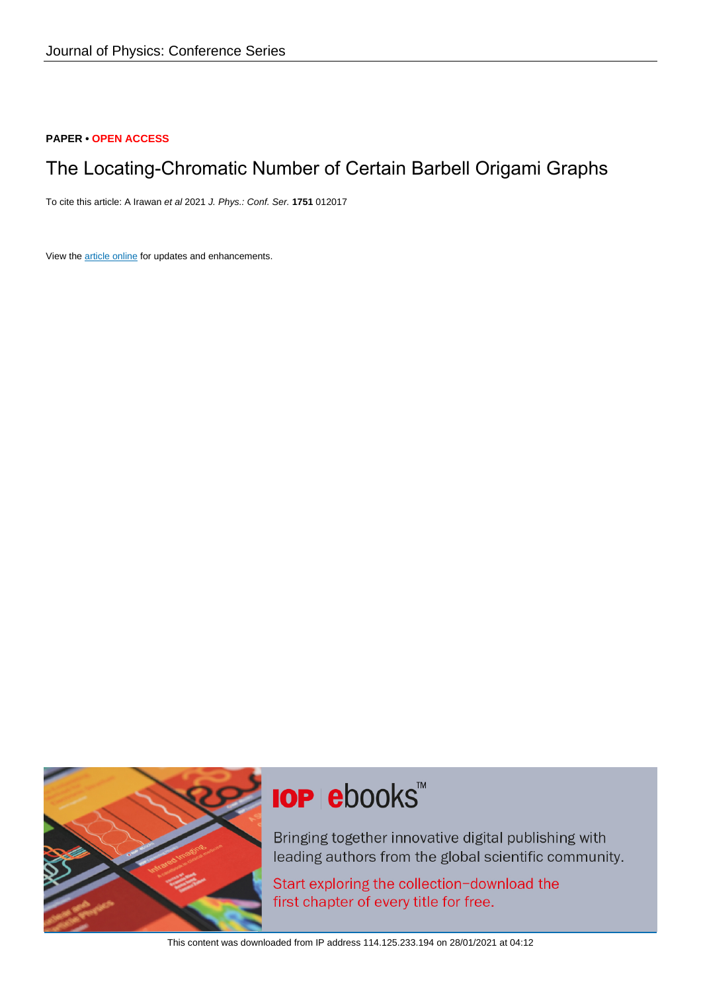### **PAPER • OPEN ACCESS**

# The Locating-Chromatic Number of Certain Barbell Origami Graphs

To cite this article: A Irawan et al 2021 J. Phys.: Conf. Ser. **1751** 012017

View the [article online](https://doi.org/10.1088/1742-6596/1751/1/012017) for updates and enhancements.



# **IOP ebooks**™

Bringing together innovative digital publishing with leading authors from the global scientific community.

Start exploring the collection-download the first chapter of every title for free.

This content was downloaded from IP address 114.125.233.194 on 28/01/2021 at 04:12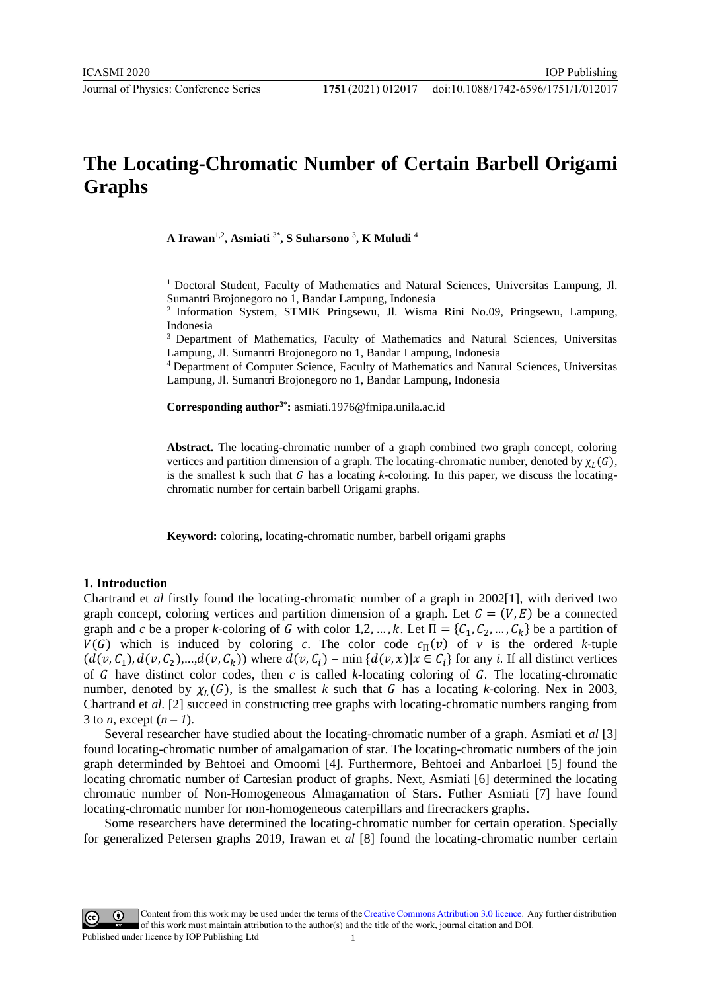# **The Locating-Chromatic Number of Certain Barbell Origami Graphs**

**A Irawan**1,2 **, Asmiati** 3\* **, S Suharsono** <sup>3</sup> **, K Muludi** <sup>4</sup>

<sup>1</sup> Doctoral Student, Faculty of Mathematics and Natural Sciences, Universitas Lampung, Jl. Sumantri Brojonegoro no 1, Bandar Lampung, Indonesia

<sup>2</sup> Information System, STMIK Pringsewu, Jl. Wisma Rini No.09, Pringsewu, Lampung, Indonesia

<sup>3</sup> Department of Mathematics, Faculty of Mathematics and Natural Sciences, Universitas Lampung, Jl. Sumantri Brojonegoro no 1, Bandar Lampung, Indonesia

<sup>4</sup>Department of Computer Science, Faculty of Mathematics and Natural Sciences, Universitas Lampung, Jl. Sumantri Brojonegoro no 1, Bandar Lampung, Indonesia

**Corresponding author3\*:** asmiati.1976@fmipa.unila.ac.id

**Abstract.** The locating-chromatic number of a graph combined two graph concept, coloring vertices and partition dim[ension of a graph. The locating-ch](mailto:asmiati.1976@fmipa.unila.ac.id)romatic number, denoted by  $\chi_L(G)$ , is the smallest k such that  $G$  has a locating  $k$ -coloring. In this paper, we discuss the locatingchromatic number for certain barbell Origami graphs.

**Keyword:** coloring, locating-chromatic number, barbell origami graphs

#### **1. Introduction**

Chartrand et *al* firstly found the locating-chromatic number of a graph in 2002[1], with derived two graph concept, coloring vertices and partition dimension of a graph. Let  $G = (V, E)$  be a connected graph and *c* be a proper *k*-coloring of *G* with color 1,2, ..., *k*. Let  $\Pi = \{C_1, C_2, ..., C_k\}$  be a partition of  $V(G)$  which is induced by coloring *c*. The color code  $c_{\Pi}(v)$  of *v* is the ordered *k*-tuple  $(d(v, C_1), d(v, C_2), ..., d(v, C_k))$  where  $d(v, C_i) = \min \{d(v, x) | x \in C_i\}$  for any *i*. If all distinct vertices of  $G$  have distinct color codes, then  $c$  is called  $k$ -locating coloring of  $G$ . The locating-chromatic number, denoted by  $\chi_L(G)$ , is the smallest *k* such that G has a locating *k*-coloring. Nex in 2003, Chartrand et *al.* [2] succeed in constructing tree graphs with locating-chromatic numbers ranging from 3 to *n*, except  $(n - 1)$ .

Several researcher have studied about the locating-chromatic number of a graph. Asmiati et *al* [3] found locating-chromatic number of amalgamation of star. The locating-chromatic numbers of the join graph determinded by Behtoei and Omoomi [4]. Furthermore, Behtoei and Anbarloei [5] found the locating chromatic number of Cartesian product of graphs. Next, Asmiati [6] determined the locating chromatic number of Non-Homogeneous Almagamation of Stars. Futher Asmiati [7] have found locating-chromatic number for non-homogeneous caterpillars and firecrackers graphs.

Some researchers have determined the locating-chromatic number for certain operation. Specially for generalized Petersen graphs 2019, Irawan et *al* [8] found the locating-chromatic number certain

Content from this work may be used under the terms of theCreative Commons Attribution 3.0 licence. Any further distribution  $\bigcirc$ of this work must maintain attribution to the author(s) and the title of the work, journal citation and DOI. Published under licence by IOP Publishing Ltd 1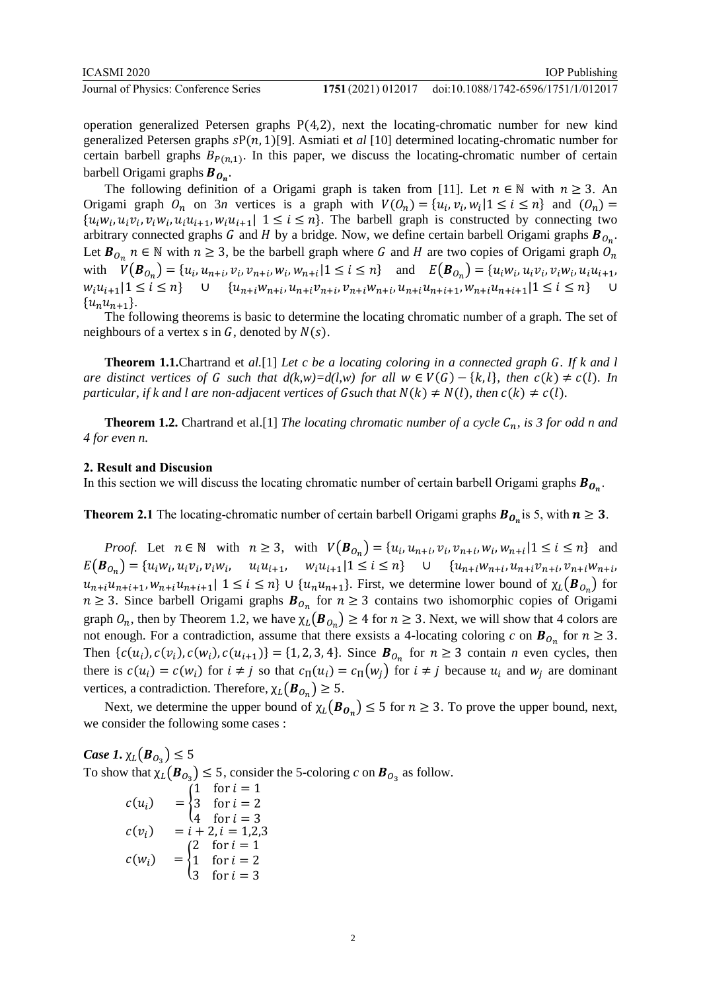Journal of Physics: Conference Series **1751** (2021) 012017

operation generalized Petersen graphs  $P(4,2)$ , next the locating-chromatic number for new kind generalized Petersen graphs  $sP(n, 1)[9]$ . Asmiati et *al* [10] determined locating-chromatic number for certain barbell graphs  $B_{P(n,1)}$ . In this paper, we discuss the locating-chromatic number of certain barbell Origami graphs  $B_{\boldsymbol{0}_n}$ .

The following definition of a Origami graph is taken from [11]. Let  $n \in \mathbb{N}$  with  $n \ge 3$ . An Origami graph  $O_n$  on  $3n$  vertices is a graph with  $V(O_n) = \{u_i, v_i, w_i | 1 \le i \le n\}$  and  $(O_n) =$  $\{u_i w_i, u_i v_i, v_i w_i, u_i u_{i+1}, w_i u_{i+1}\}\ 1 \leq i \leq n\}.$  The barbell graph is constructed by connecting two arbitrary connected graphs G and H by a bridge. Now, we define certain barbell Origami graphs  $B_{O_n}$ . Let  $B_{O_n}$   $n \in \mathbb{N}$  with  $n \ge 3$ , be the barbell graph where G and H are two copies of Origami graph  $O_n$ with  $V(\bm{B}_{0_n}) = \{u_i, u_{n+i}, v_i, v_{n+i}, w_i, w_{n+i}|1 \le i \le n\}$  and  $E(\bm{B}_{0_n}) = \{u_iw_i, u_iv_i, v_iw_i, u_iu_{i+1}, u_iw_i, u_iw_i\}$  $w_i u_{i+1} | 1 \le i \le n$   $\cup$   $\{u_{n+i} w_{n+i}, u_{n+i} v_{n+i}, v_{n+i} w_{n+i}, u_{n+i} u_{n+i+1}, w_{n+i} u_{n+i+1} | 1 \le i \le n\}$  ${u_n u_{n+1}}.$ 

The following theorems is basic to determine the locating chromatic number of a graph. The set of neighbours of a vertex  $s$  in  $G$ , denoted by  $N(s)$ .

**Theorem 1.1.**Chartrand et *al.*[1] *Let c be a locating coloring in a connected graph . If k and l are distinct vertices of G such that*  $d(k,w)=d(l,w)$  *for all*  $w \in V(G) - \{k, l\}$ *, then*  $c(k) \neq c(l)$ *. In particular, if k and l are non-adjacent vertices of Gsuch that*  $N(k) \neq N(l)$ *, then*  $c(k) \neq c(l)$ *.* 

**Theorem 1.2.** Chartrand et al.[1] *The locating chromatic number of a cycle*  $C_n$ *, is 3 for odd n and 4 for even n.*

#### **2. Result and Discusion**

In this section we will discuss the locating chromatic number of certain barbell Origami graphs  $\bm B_{\bm O_{\bm n}}$ .

**Theorem 2.1** The locating-chromatic number of certain barbell Origami graphs  $B_{O_n}$  is 5, with  $n \ge 3$ .

*Proof.* Let  $n \in \mathbb{N}$  with  $n \ge 3$ , with  $V(B_{0_n}) = \{u_i, u_{n+i}, v_i, v_{n+i}, w_i, w_{n+i} | 1 \le i \le n\}$  and  $E(B_{0_n}) = \{u_iw_i, u_iv_i, v_iw_i, u_iu_{i+1}, w_iu_{i+1}|1 \leq i \leq n\}$   $\cup$   $\{u_{n+i}w_{n+i}, u_{n+i}v_{n+i}, v_{n+i}w_{n+i}\}$  $u_{n+i}u_{n+i+1}, w_{n+i}u_{n+i+1} \mid 1 \leq i \leq n$   $\cup$   $\{u_n u_{n+1}\}\$ . First, we determine lower bound of  $\chi_L(\mathbf{B}_{0_n})$  for  $n \geq 3$ . Since barbell Origami graphs  $B_{O_n}$  for  $n \geq 3$  contains two ishomorphic copies of Origami graph  $O_n$ , then by Theorem 1.2, we have  $\chi_L(\mathbf{B}_{O_n}) \geq 4$  for  $n \geq 3$ . Next, we will show that 4 colors are not enough. For a contradiction, assume that there exsists a 4-locating coloring *c* on  $\mathbf{B}_{0_n}$  for  $n \geq 3$ . Then  $\{c(u_i), c(v_i), c(w_i), c(u_{i+1})\} = \{1, 2, 3, 4\}$ . Since  $\mathbf{B}_{0_n}$  for  $n \geq 3$  contain *n* even cycles, then there is  $c(u_i) = c(w_i)$  for  $i \neq j$  so that  $c_{\Pi}(u_i) = c_{\Pi}(w_j)$  for  $i \neq j$  because  $u_i$  and  $w_j$  are dominant vertices, a contradiction. Therefore,  $\chi_L(\boldsymbol{B}_{O_n}) \geq 5$ .

Next, we determine the upper bound of  $\chi_L(\mathbf{B}_{\mathbf{O}_n}) \leq 5$  for  $n \geq 3$ . To prove the upper bound, next, we consider the following some cases :

 $Case 1. \chi_L(B_{O_3}) \leq 5$ To show that  $\chi_L(\mathbf{B}_{0_3}) \le 5$ , consider the 5-coloring *c* on  $\mathbf{B}_{0_3}$  as follow.  $c(u_i) = \}$ 1 for  $i = 1$ 3 for  $i = 2$ 4 for  $i = 3$  $c(v_i) = i + 2, i = 1,2,3$  $c(w_i) = \}$ 2 for  $i = 1$ 1 for  $i = 2$ 3 for  $i = 3$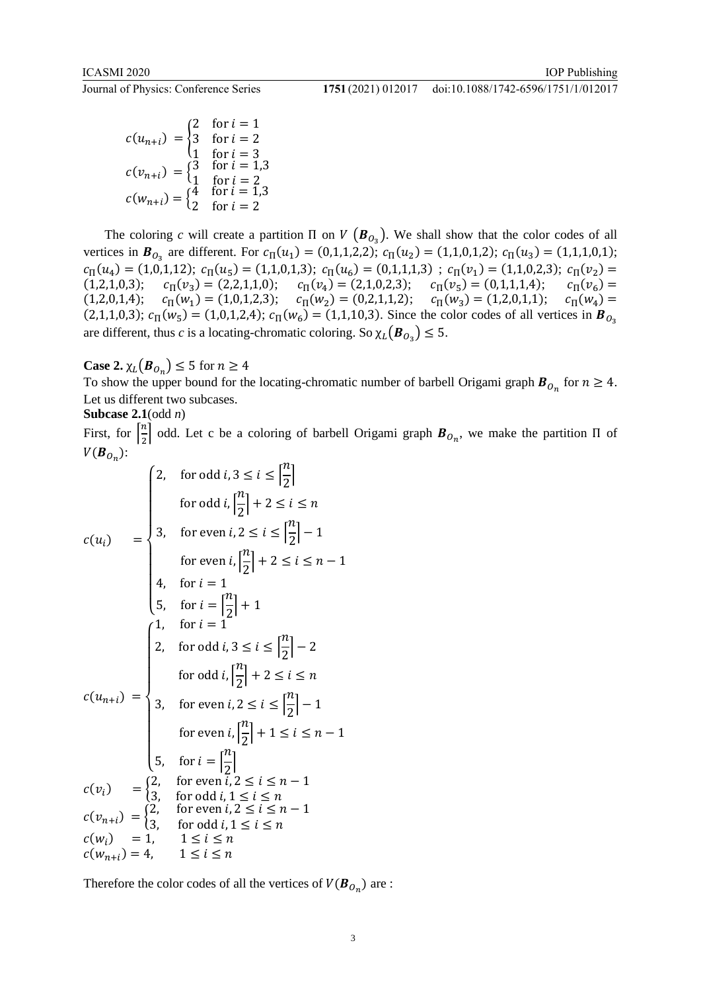Journal of Physics: Conference Series **1751** (2021) 012017

#### doi:10.1088/1742-6596/1751/1/012017

$$
c(u_{n+i}) = \begin{cases} 2 & \text{for } i = 1 \\ 3 & \text{for } i = 2 \\ 1 & \text{for } i = 3 \end{cases}
$$
  
\n
$$
c(v_{n+i}) = \begin{cases} 3 & \text{for } i = 1,3 \\ 1 & \text{for } i = 2 \end{cases}
$$
  
\n
$$
c(w_{n+i}) = \begin{cases} 4 & \text{for } i = 1,3 \\ 2 & \text{for } i = 2 \end{cases}
$$

The coloring *c* will create a partition  $\Pi$  on  $V(B_{O_3})$ . We shall show that the color codes of all vertices in  $\mathbf{B}_{0_3}$  are different. For  $c_{\Pi}(u_1) = (0,1,1,2,2)$ ;  $c_{\Pi}(u_2) = (1,1,0,1,2)$ ;  $c_{\Pi}(u_3) = (1,1,1,0,1)$ ;  $c_{\Pi}(u_4) = (1,0,1,12); c_{\Pi}(u_5) = (1,1,0,1,3); c_{\Pi}(u_6) = (0,1,1,1,3); c_{\Pi}(v_1) = (1,1,0,2,3); c_{\Pi}(v_2) =$  $(1,2,1,0,3);$   $c_{\Pi}(v_3) = (2,2,1,1,0);$   $c_{\Pi}(v_4) = (2,1,0,2,3);$   $c_{\Pi}(v_5) = (0,1,1,1,4);$   $c_{\Pi}(v_6) =$  $(1,2,0,1,4);$   $c_{\Pi}(w_1) = (1,0,1,2,3);$   $c_{\Pi}(w_2) = (0,2,1,1,2);$   $c_{\Pi}(w_3) = (1,2,0,1,1);$   $c_{\Pi}(w_4) =$ (2,1,1,0,3);  $c_{\Pi}(w_5) = (1,0,1,2,4)$ ;  $c_{\Pi}(w_6) = (1,1,10,3)$ . Since the color codes of all vertices in  $\mathbf{B}_{0_3}$ are different, thus *c* is a locating-chromatic coloring. So  $\chi_L(\mathbf{B}_{O_3}) \leq 5$ .

**Case 2.**  $\chi_L(\mathbf{B}_{O_n}) \leq 5$  for  $n \geq 4$ 

To show the upper bound for the locating-chromatic number of barbell Origami graph  $\mathbf{B}_{\mathcal{O}_n}$  for  $n \geq 4$ . Let us different two subcases.

## **Subcase 2.1**(odd *n*)

First, for  $\left[\frac{n}{2}\right]$  $\frac{n}{2}$  odd. Let c be a coloring of barbell Origami graph  $B_{O_n}$ , we make the partition  $\Pi$  of  $V(B_{\mathcal{O}_n})$ :

$$
c(u_i) = \begin{cases} 2, & \text{for odd } i, 3 \le i \le \left\lfloor \frac{n}{2} \right\rfloor \\ & \text{for odd } i, \left\lfloor \frac{n}{2} \right\rfloor + 2 \le i \le n \\ 3, & \text{for even } i, 2 \le i \le \left\lfloor \frac{n}{2} \right\rfloor - 1 \\ & \text{for even } i, \left\lfloor \frac{n}{2} \right\rfloor + 2 \le i \le n - 1 \end{cases}
$$
\n
$$
4, & \text{for } i = 1
$$
\n
$$
5, & \text{for } i = \left\lfloor \frac{n}{2} \right\rfloor + 1
$$
\n
$$
1, & \text{for } i = 1
$$
\n
$$
2, & \text{for odd } i, 3 \le i \le \left\lfloor \frac{n}{2} \right\rfloor - 2 \\ & \text{for odd } i, \left\lfloor \frac{n}{2} \right\rfloor + 2 \le i \le n
$$
\n
$$
c(u_{n+i}) = \begin{cases} 3, & \text{for even } i, 2 \le i \le \left\lfloor \frac{n}{2} \right\rfloor - 1 \\ 5, & \text{for } i = \left\lfloor \frac{n}{2} \right\rfloor \\ 7, & \text{for } i = \left\lfloor \frac{n}{2} \right\rfloor \end{cases}
$$
\n
$$
c(v_i) = \begin{cases} 2, & \text{for even } i, 2 \le i \le n - 1 \\ 3, & \text{for odd } i, 1 \le i \le n \end{cases}
$$
\n
$$
c(v_{n+i}) = \begin{cases} 2, & \text{for even } i, 2 \le i \le n - 1 \\ 3, & \text{for odd } i, 1 \le i \le n \end{cases}
$$
\n
$$
c(w_{n+i}) = 4, & 1 \le i \le n
$$
\n
$$
c(w_{n+i}) = 4, & 1 \le i \le n
$$

Therefore the color codes of all the vertices of  $V(\boldsymbol{B}_{\scriptscriptstyle O_n})$  are :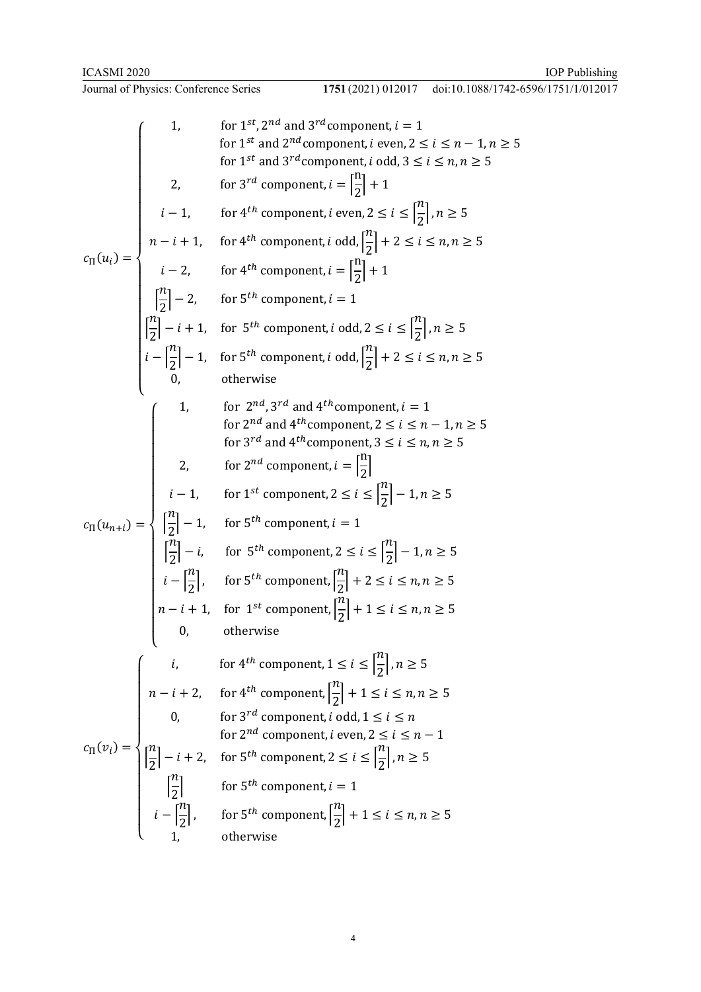doi:10.1088/1742-6596/1751/1/012017

1. for 1st, 2nd and 3rd component, 
$$
i = 1
$$
  
\nfor 1st and 2nd component,  $i$  even,  $2 \le i \le n - 1, n \ge 5$   
\n1. For 4th component,  $i$  even,  $2 \le i \le n, n \ge 5$   
\n1. For 4th component,  $i$  even,  $2 \le i \le \lfloor \frac{n}{2} \rfloor, n \ge 5$   
\n $n - i + 1$ , for 4th component,  $i$  odd,  $\lceil \frac{n}{2} \rceil + 2 \le i \le n, n \ge 5$   
\n $n - i + 1$ , for 4th component,  $i$  odd,  $\lceil \frac{n}{2} \rceil + 2 \le i \le n, n \ge 5$   
\n $i - 2$ , for 4th component,  $i = 1$   
\n $\lceil \frac{n}{2} \rceil - 2$ , for 5th component,  $i$  odd,  $2 \le i \le \lceil \frac{n}{2} \rceil, n \ge 5$   
\n $i - \lceil \frac{n}{2} \rceil - 1$ , for 5th component,  $i$  odd,  $\lceil \frac{n}{2} \rceil + 2 \le i \le n, n \ge 5$   
\n $i - \lceil \frac{n}{2} \rceil - 1$ , for 5th component,  $i$  odd,  $\lceil \frac{n}{2} \rceil + 2 \le i \le n, n \ge 5$   
\n $0$ , otherwise  
\n1. for 2nd and 4th component,  $2 \le i \le n - 1, n \ge 5$   
\nfor 3rd and 4th component,  $3 \le i \le n, n \ge 5$   
\n $2$ , for 2nd component,  $i = \lceil \frac{n}{2} \rceil$   
\n $i - 1$ , for 1st component,  $2 \le i \le \lceil \frac{n}{2} \rceil - 1, n \ge 5$   
\n $2$ , for 2nd component,  $i = 1$   
\n $\lceil \frac{n}{2} \rceil - i$ , for 5th component,  $i = 1$   
\n $\lceil \frac{n}{2} \rceil - i$ , for 5th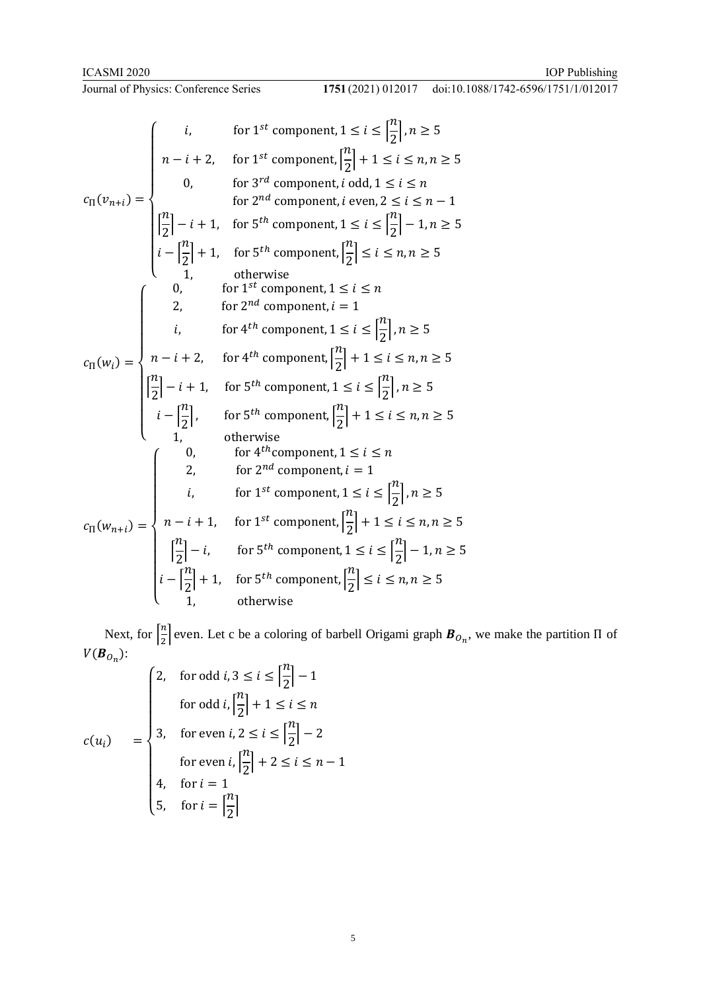doi:10.1088/1742-6596/1751/1/012017

$$
c_{\Pi}(v_{n+i}) = \begin{cases} i, & \text{for } 1^{st} \text{ component}, 1 \leq i \leq \left\lfloor \frac{n}{2} \right\rfloor, n \geq 5 \\ n - i + 2, & \text{for } 1^{st} \text{ component}, i \text{ odd}, 1 \leq i \leq n, n \geq 5 \\ 0, & \text{for } 3^{rd} \text{ component}, i \text{ even}, 2 \leq i \leq n - 1 \\ \left\lfloor \frac{n}{2} \right\rfloor - i + 1, & \text{for } 5^{th} \text{ component}, 1 \leq i \leq \left\lfloor \frac{n}{2} \right\rfloor - 1, n \geq 5 \\ i - \left\lfloor \frac{n}{2} \right\rfloor + 1, & \text{for } 5^{th} \text{ component}, 1 \leq i \leq \left\lfloor \frac{n}{2} \right\rfloor - 1, n \geq 5 \\ 1, & \text{otherwise} \\ 0, & \text{for } 1^{st} \text{ component}, 1 \leq i \leq n \\ 2, & \text{for } 2^{nd} \text{ component}, i = 1 \\ i, & \text{for } 4^{th} \text{ component}, 1 \leq i \leq \left\lfloor \frac{n}{2} \right\rfloor, n \geq 5 \\ c_{\Pi}(w_i) = \begin{cases} n - i + 2, & \text{for } 4^{th} \text{ component}, 1 \leq i \leq \left\lfloor \frac{n}{2} \right\rfloor, n \geq 5 \\ n - i + 2, & \text{for } 4^{th} \text{ component}, 1 \leq i \leq \left\lfloor \frac{n}{2} \right\rfloor, n \geq 5 \\ \left\lfloor \frac{n}{2} \right\rfloor - i + 1, & \text{for } 5^{th} \text{ component}, 1 \leq i \leq \left\lfloor \frac{n}{2} \right\rfloor, n \geq 5 \\ 1, & \text{otherwise} \\ 2, & \text{for } 5^{th} \text{ component}, 1 \leq i \leq n \\ 2, & \text{for } 2^{nd} \text{ component}, i = 1 \\ i, & \text{for } 1^{st} \text{ component}, 1 \leq i \leq \left\lfloor \frac{n}{2} \right\rfloor, n \geq 5 \\ c_{\Pi}(w_{n+i}) = \begin{cases} n - i + 1, & \text{for } 1
$$

Next, for  $\left[\frac{n}{2}\right]$  $\frac{n}{2}$  even. Let c be a coloring of barbell Origami graph  $B_{O_n}$ , we make the partition  $\Pi$  of  $V(B_{O_n})$ :

$$
c(u_i) = \begin{cases} 2, & \text{for odd } i, 3 \le i \le \left\lfloor \frac{n}{2} \right\rfloor - 1 \\ & \text{for odd } i, \left\lfloor \frac{n}{2} \right\rfloor + 1 \le i \le n \\ 3, & \text{for even } i, 2 \le i \le \left\lfloor \frac{n}{2} \right\rfloor - 2 \\ & \text{for even } i, \left\lfloor \frac{n}{2} \right\rfloor + 2 \le i \le n - 1 \\ 4, & \text{for } i = 1 \\ 5, & \text{for } i = \left\lfloor \frac{n}{2} \right\rfloor \end{cases}
$$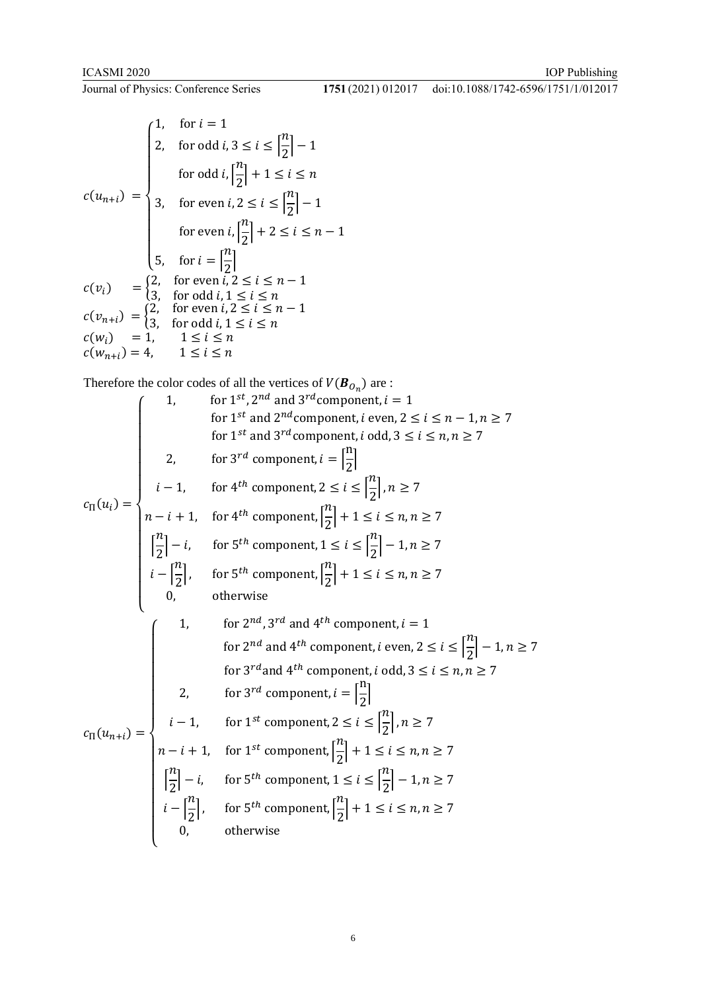1751 (2021) 012017 doi:10.1088/1742-6596/1751/1/012017

$$
c(u_{n+i}) = \begin{cases} 1, & \text{for } i = 1 \\ 2, & \text{for odd } i, 3 \le i \le \left\lfloor \frac{n}{2} \right\rfloor - 1 \\ & \text{for odd } i, \left\lfloor \frac{n}{2} \right\rfloor + 1 \le i \le n \\ 3, & \text{for even } i, 2 \le i \le \left\lfloor \frac{n}{2} \right\rfloor - 1 \\ & \text{for even } i, \left\lfloor \frac{n}{2} \right\rfloor + 2 \le i \le n - 1 \\ 5, & \text{for } i = \left\lfloor \frac{n}{2} \right\rfloor \\ c(v_i) = \begin{cases} 2, & \text{for even } i, 2 \le i \le n - 1 \\ 3, & \text{for odd } i, 1 \le i \le n \end{cases} \\ c(v_{n+i}) = \begin{cases} 2, & \text{for even } i, 2 \le i \le n - 1 \\ 3, & \text{for odd } i, 1 \le i \le n \end{cases} \\ c(w_i) = 1, & 1 \le i \le n \\ c(w_{n+i}) = 4, & 1 \le i \le n \end{cases}
$$

Therefore the color codes of all the vertices of  $V(\boldsymbol{B}_{O_n})$  are :

1. for 
$$
1^{st}
$$
,  $2^{nd}$  and  $3^{rd}$  component,  $i = 1$   
\nfor  $1^{st}$  and  $2^{nd}$  component,  $i$  even,  $2 \le i \le n - 1, n \ge 7$   
\nfor  $1^{st}$  and  $3^{rd}$  component,  $i$  odd,  $3 \le i \le n, n \ge 7$   
\n2. for  $3^{rd}$  component,  $i = \left[\frac{n}{2}\right]$   
\n $i - 1$ , for  $4^{th}$  component,  $2 \le i \le \left[\frac{n}{2}\right], n \ge 7$   
\n $n - i + 1$ , for  $4^{th}$  component,  $\left[\frac{n}{2}\right] + 1 \le i \le n, n \ge 7$   
\n $\left[\frac{n}{2}\right] - i$ , for  $5^{th}$  component,  $1 \le i \le \left[\frac{n}{2}\right] - 1, n \ge 7$   
\n $i - \left[\frac{n}{2}\right]$ , for  $5^{th}$  component,  $\left[\frac{n}{2}\right] + 1 \le i \le n, n \ge 7$   
\n0, otherwise  
\n1. for  $2^{nd}$ ,  $3^{rd}$  and  $4^{th}$  component,  $i$  even,  $2 \le i \le \left[\frac{n}{2}\right] - 1, n \ge 7$   
\nfor  $3^{rd}$  and  $4^{th}$  component,  $i$  odd,  $3 \le i \le n, n \ge 7$   
\n2. for  $3^{rd}$  component,  $i = \left[\frac{n}{2}\right]$   
\n $i - 1$ , for  $1^{st}$  component,  $2 \le i \le \left[\frac{n}{2}\right], n \ge 7$   
\n $n - i + 1$ , for  $1^{st}$  component,  $\left[\frac{n}{2}\right] + 1 \le i \le n, n \ge 7$   
\n $\left[\frac{n}{2}\right] - i$ , for  $5^{th}$  component,  $1 \le i \le \left[\frac{n}{2}\right] - 1, n \ge 7$   
\n $i - \left[\frac{n}{2}\right$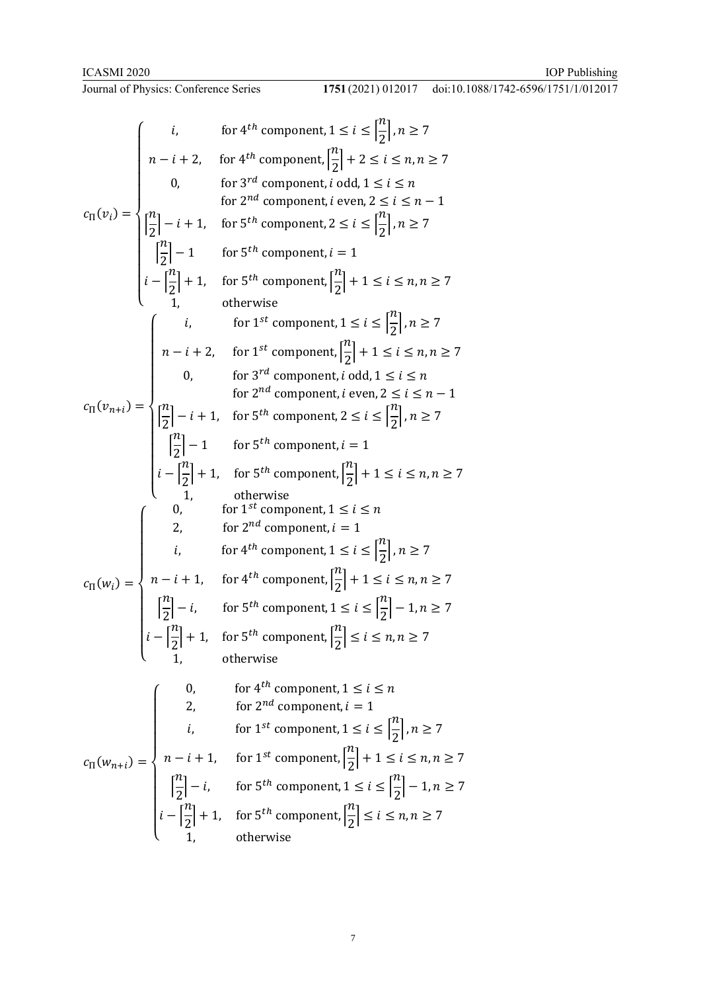doi:10.1088/1742-6596/1751/1/012017

$$
c_{\Pi}(v_{i}) = \begin{cases}\ni, & \text{for } 4^{th} \text{ component}, 1 \leq i \leq \lfloor \frac{n}{2} \rfloor, n \geq 7 \\
n-i+2, & \text{for } 4^{th} \text{ component}, i \text{ odd}, 1 \leq i \leq n, n \geq 7 \\
0, & \text{for } 3^{rd} \text{ component}, i \text{ even}, 2 \leq i \leq n-1 \\
\lceil \frac{n}{2} \rceil - i + 1, & \text{for } 5^{th} \text{ component}, 2 \leq i \leq \lfloor \frac{n}{2} \rfloor, n \geq 7 \\
\lceil \frac{n}{2} \rceil - 1 & \text{for } 5^{th} \text{ component}, i = 1 \\
i - \lfloor \frac{n}{2} \rfloor + 1, & \text{for } 5^{th} \text{ component}, i = 1 \\
i - \lfloor \frac{n}{2} \rfloor + 1, & \text{for } 5^{th} \text{ component}, \lfloor \frac{n}{2} \rfloor + 1 \leq i \leq n, n \geq 7 \\
\lceil \frac{n}{2} \rceil - i + 2, & \text{for } 1^{st} \text{ component}, i \leq i \leq \lfloor \frac{n}{2} \rfloor, n \geq 7 \\
0, & \text{for } 3^{rd} \text{ component}, i \text{ odd}, 1 \leq i \leq n, n \geq 7 \\
0, & \text{for } 3^{rd} \text{ component}, i \text{ even}, 2 \leq i \leq n-1 \\
\lceil \frac{n}{2} \rceil - 1 & \text{for } 5^{th} \text{ component}, i \in 1 \\
i - \lceil \frac{n}{2} \rceil + 1, & \text{for } 5^{th} \text{ component}, i = 1 \\
i, & \text{for } 5^{th} \text{ component}, 1 \leq i \leq n, n \geq 7 \\
\lceil \frac{n}{2} \rceil - 1, & \text{for } 5^{th} \text{ component}, 1 \leq i \leq n, n \geq 7 \\
\lceil \frac{n}{2} \rceil - i, & \text{for } 5^{th} \text{ component}, 1 \leq i \leq n, n \geq 7 \\
\lceil \frac{n}{2} \rceil - i, & \text{for } 4^{th} \text{ component}, 1 \leq i \leq \lfloor \frac{n}{2} \rfloor, n \geq 7 \\
$$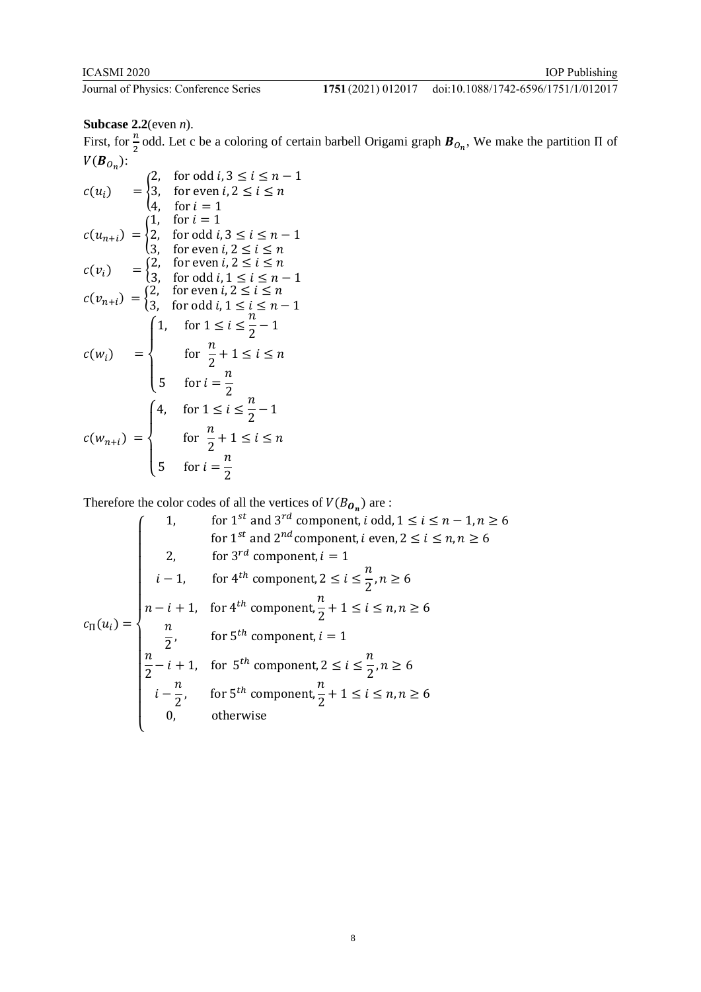# 1751 (2021) 012017 doi:10.1088/1742-6596/1751/1/012017

# **Subcase 2.2**(even *n*).

First, for  $\frac{n}{2}$  odd. Let c be a coloring of certain barbell Origami graph  $B_{O_n}$ , We make the partition  $\Pi$  of  $V(B_{O_n})$ :

$$
c(u_i) = \begin{cases} 2, & \text{for odd } i, 3 \le i \le n - 1 \\ 3, & \text{for even } i, 2 \le i \le n \\ 4, & \text{for } i = 1 \end{cases}
$$
\n
$$
c(u_{n+i}) = \begin{cases} 1, & \text{for } i = 1 \\ 2, & \text{for odd } i, 3 \le i \le n - 1 \\ 3, & \text{for even } i, 2 \le i \le n \end{cases}
$$
\n
$$
c(v_i) = \begin{cases} 2, & \text{for even } i, 2 \le i \le n \\ 3, & \text{for odd } i, 1 \le i \le n - 1 \\ 3, & \text{for odd } i, 1 \le i \le n - 1 \end{cases}
$$
\n
$$
c(w_i) = \begin{cases} 1, & \text{for } 1 \le i \le \frac{n}{2} - 1 \\ & \text{for } i \le \frac{n}{2} + 1 \le i \le n \\ 5, & \text{for } i = \frac{n}{2} \end{cases}
$$
\n
$$
c(w_{n+i}) = \begin{cases} 4, & \text{for } 1 \le i \le \frac{n}{2} - 1 \\ & \text{for } i = \frac{n}{2} + 1 \le i \le n \\ 5, & \text{for } i = \frac{n}{2} \end{cases}
$$

Therefore the color codes of all the vertices of  $V(B_{\mathbf{O}_n})$  are :

1, for 1<sup>st</sup> and 3<sup>rd</sup> component, *i* odd, 
$$
1 \le i \le n - 1, n \ge 6
$$
  
\nfor 1<sup>st</sup> and 2<sup>nd</sup> component, *i* even,  $2 \le i \le n, n \ge 6$   
\n2, for 3<sup>rd</sup> component,  $i = 1$   
\n $i - 1$ , for 4<sup>th</sup> component,  $2 \le i \le \frac{n}{2}, n \ge 6$   
\n $c_{\Pi}(u_i) = \begin{cases} n - i + 1, & \text{for } 4^{th}$  component,  $\frac{n}{2} + 1 \le i \le n, n \ge 6\\ \frac{n}{2}, & \text{for } 5^{th}$  component,  $i = 1\\ \frac{n}{2} - i + 1, & \text{for } 5^{th}$  component,  $2 \le i \le \frac{n}{2}, n \ge 6\\ i - \frac{n}{2}, & \text{for } 5^{th}$  component,  $\frac{n}{2} + 1 \le i \le n, n \ge 6\\ 0, & \text{otherwise} \end{cases}$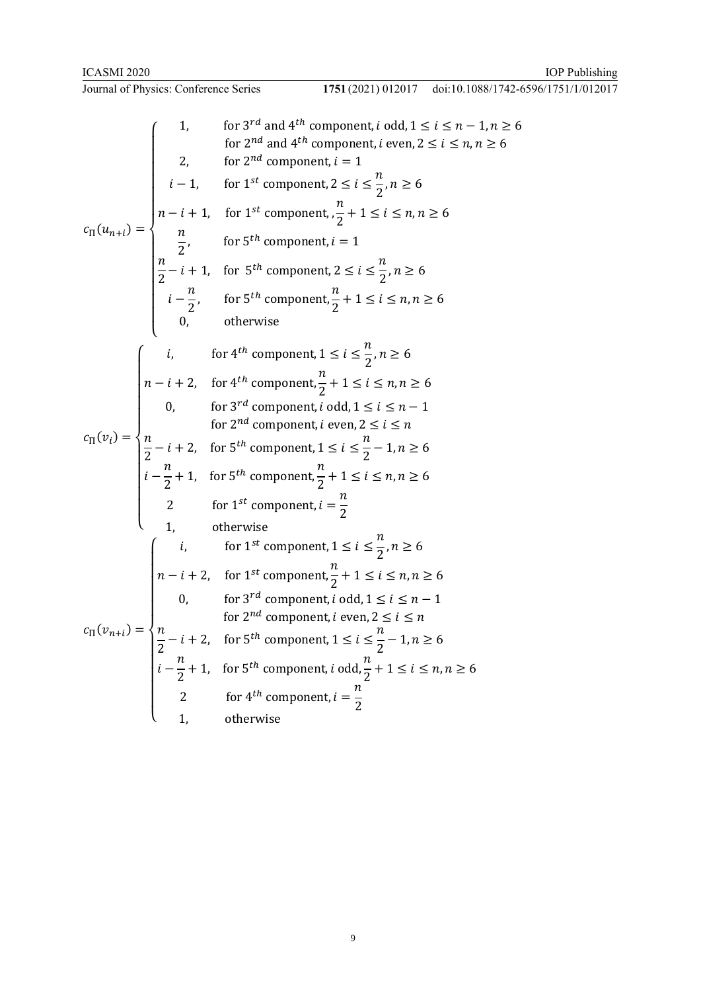$$
1751 (2021) 012017 \quad \text{doi: } 10.1088/1742 - 6596/1751/1/012017
$$

1. for 3<sup>rd</sup> and 4<sup>th</sup> component, *i* odd, 1 ≤ *i* ≤ *n* − 1, *n* ≥ 6  
\n1. for 2<sup>nd</sup> and 4<sup>th</sup> component, *i* even, 2 ≤ *i* ≤ *n*, *n* ≥ 6  
\n2. for 2<sup>nd</sup> component, *i* = 1  
\n
$$
i - 1
$$
, for 1<sup>st</sup> component, 2 ≤ *i* ≤ 2, *n* ≥ 6  
\n
$$
c_n(u_{n+i}) = \begin{cases}\n1 & \text{for } 1^{st} \text{ component}, 2 \leq i \leq \frac{n}{2}, n \geq 6 \\
\frac{n}{2} & \text{for } 5^{th} \text{ component}, i = 1 \\
\frac{n}{2} - i + 1, \text{ for } 5^{th} \text{ component}, 2 \leq i \leq \frac{n}{2}, n \geq 6 \\
i - \frac{n}{2}, \text{ for } 5^{th} \text{ component}, \frac{n}{2} + 1 \leq i \leq n, n \geq 6 \\
0, \text{ otherwise}\n\end{cases}
$$
\n1. For 4<sup>th</sup> component,  $\frac{n}{2} + 1 \leq i \leq n, n \geq 6$   
\n
$$
c_n(v_i) = \begin{cases}\n1, & \text{for } 3^{rd} \text{ component}, i \leq i \leq \frac{n}{2}, n \geq 6 \\
0, & \text{for } 3^{rd} \text{ component}, i \text{ odd}, 1 \leq i \leq n - 1 \\
\frac{n}{2} - i + 2, & \text{for } 5^{th} \text{ component}, 1 \leq i \leq \frac{n}{2} - 1, n \geq 6 \\
i - \frac{n}{2} + 1, & \text{for } 5^{th} \text{ component}, \frac{n}{2} + 1 \leq i \leq n, n \geq 6 \\
\frac{n}{2} & \text{for } 1^{st} \text{ component}, i = \frac{n}{2} \\
1, \text{ otherwise}\n\end{cases}
$$
\n
$$
c_n(v_{n+i}) = \begin{cases}\ni, & \text{for } 1^{st} \text{ component}, 1 \leq i \leq n, n \geq 6 \\
0, & \text{for } 3^{rd} \text
$$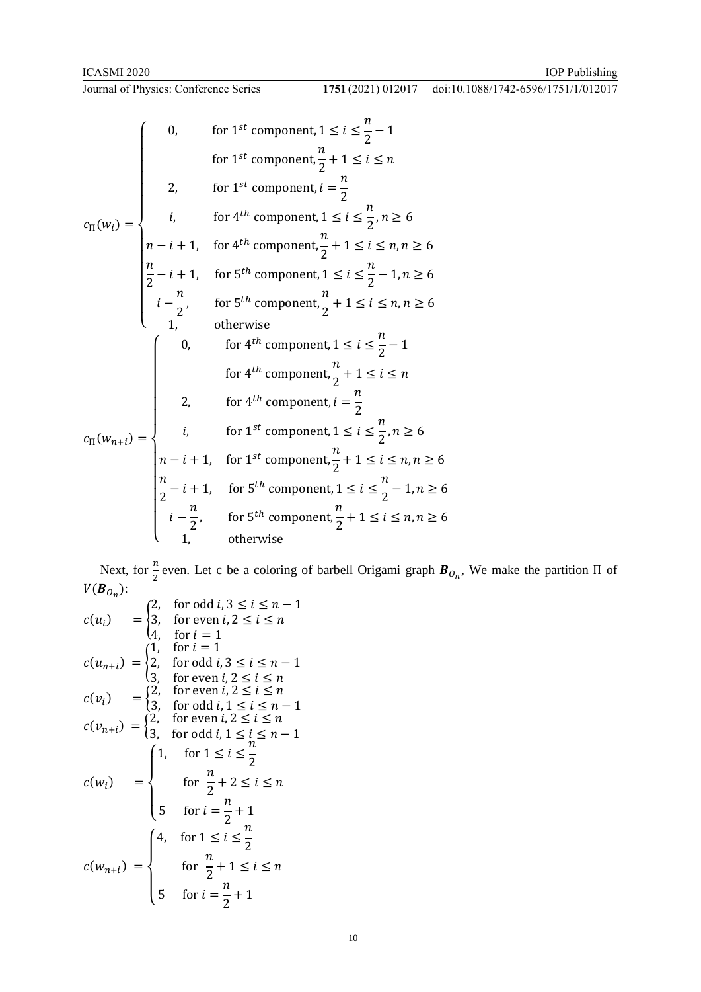\n
$$
\text{1751} \left( \frac{2021}{1012017} \right) \quad \text{doi:10.1088/1742-6596/1751/1/012017}
$$
\n

$$
c_{\Pi}(w_i) = \begin{cases}\n0, & \text{for } 1^{st} \text{ component, } 1 \leq i \leq \frac{n}{2} - 1 \\
& \text{for } 1^{st} \text{ component, } i = \frac{n}{2} \\
& i, & \text{for } 4^{th} \text{ component, } 1 \leq i \leq \frac{n}{2}, n \geq 6 \\
& n - i + 1, & \text{for } 4^{th} \text{ component, } 1 \leq i \leq n, n \geq 6 \\
& \frac{n}{2} - i + 1, & \text{for } 5^{th} \text{ component, } 1 \leq i \leq n, n \geq 6 \\
& i - \frac{n}{2}, & \text{for } 5^{th} \text{ component, } 1 \leq i \leq n, n \geq 6 \\
& 1, & \text{otherwise}\n\end{cases}
$$
\n
$$
\begin{cases}\n0, & \text{for } 4^{th} \text{ component, } 1 \leq i \leq n, n \geq 6 \\
1, & \text{otherwise}\n\end{cases}
$$
\n
$$
c_{\Pi}(w_{n+i}) = \begin{cases}\n0, & \text{for } 4^{th} \text{ component, } 1 \leq i \leq \frac{n}{2} - 1 \\
& i, & \text{for } 4^{th} \text{ component, } i = \frac{n}{2} \\
& i, & \text{for } 1^{st} \text{ component, } i \leq i \leq n, n \geq 6 \\
& n - i + 1, & \text{for } 1^{st} \text{ component, } 1 \leq i \leq \frac{n}{2}, n \geq 6 \\
& n - i + 1, & \text{for } 1^{st} \text{ component, } 1 \leq i \leq n, n \geq 6 \\
& \frac{n}{2} - i + 1, & \text{for } 5^{th} \text{ component, } 1 \leq i \leq \frac{n}{2} - 1, n \geq 6 \\
& i - \frac{n}{2}, & \text{for } 5^{th} \text{ component, } \frac{n}{2} + 1 \leq i \leq n, n \geq 6 \\
& 1, & \text{otherwise}\n\end{cases}
$$

Next, for  $\frac{n}{2}$  even. Let c be a coloring of barbell Origami graph  $B_{O_n}$ , We make the partition  $\Pi$  of  $V(B_{O_n})$ :

$$
c(u_i) = \begin{cases} 2, & \text{for odd } i, 3 \le i \le n-1 \\ 3, & \text{for even } i, 2 \le i \le n \\ 4, & \text{for } i = 1 \end{cases}
$$
\n
$$
c(u_{n+i}) = \begin{cases} 1, & \text{for } i = 1 \\ 2, & \text{for odd } i, 3 \le i \le n-1 \\ 3, & \text{for even } i, 2 \le i \le n \end{cases}
$$
\n
$$
c(v_i) = \begin{cases} 2, & \text{for even } i, 2 \le i \le n \\ 3, & \text{for odd } i, 1 \le i \le n-1 \end{cases}
$$
\n
$$
c(v_{n+i}) = \begin{cases} 2, & \text{for even } i, 2 \le i \le n \\ 3, & \text{for odd } i, 1 \le i \le n-1 \end{cases}
$$
\n
$$
c(w_i) = \begin{cases} 1, & \text{for } 1 \le i \le \frac{n}{2} \\ & \text{for } i = \frac{n}{2}+1 \\ 5 & \text{for } i = \frac{n}{2}+1 \le i \le n \end{cases}
$$
\n
$$
c(w_{n+i}) = \begin{cases} 4, & \text{for } 1 \le i \le \frac{n}{2} \\ & \text{for } i = \frac{n}{2}+1 \\ 5 & \text{for } i = \frac{n}{2}+1 \end{cases}
$$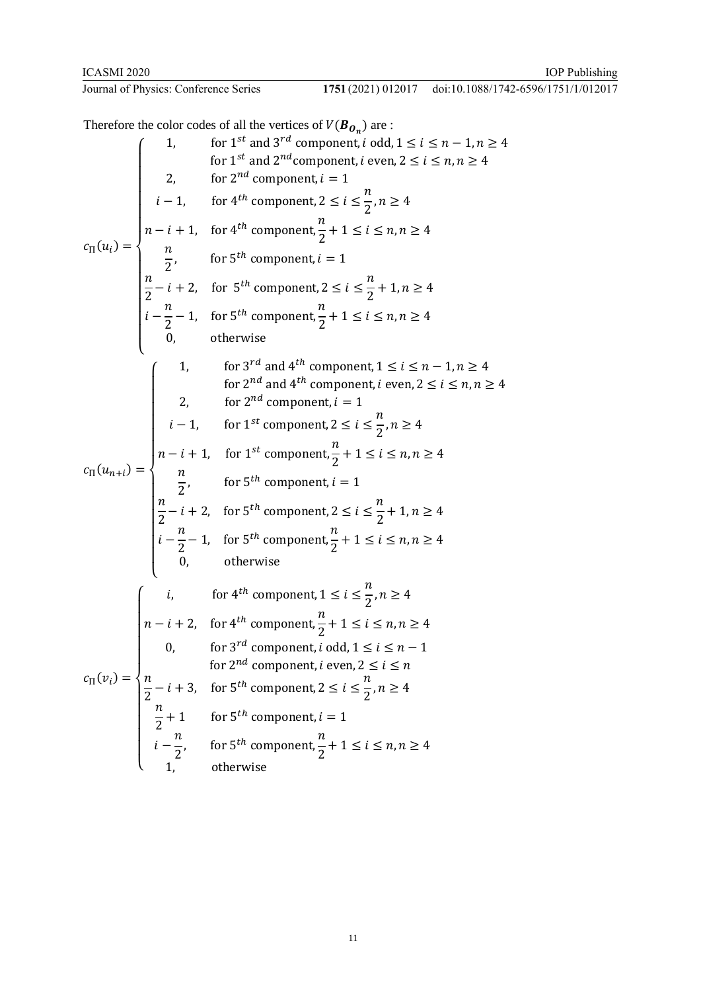#### 1751 (2021) 012017 doi:10.1088/1742-6596/1751/1/012017

Therefore the color codes of all the vertices of  $V(B_{\mathbf{0}_n})$  are :  $c_{\Pi}(u_i) =$  $\overline{\mathcal{L}}$  $\overline{1}$  $\mathbf{I}$  $\mathbf{I}$  $\mathbf{I}$  $\mathbf{I}$  $\mathbf{I}$  $\overline{1}$  $\overline{1}$  $\mathbf{I}$  $\mathbf{I}$  $\mathbf{I}$  $\mathbf{I}$  $\mathbf{I}$  $\overline{1}$ 1, for 1<sup>st</sup> and 3<sup>rd</sup> component, *i* odd,  $1 \le i \le n-1, n \ge 4$ for 1<sup>st</sup> and 2<sup>nd</sup> component, *i* even, 2  $\leq i \leq n, n \geq 4$ 2, for  $2^{nd}$  component,  $i = 1$  $i-1$ , for  $4^{th}$  component,  $2 \le i \le$  $\boldsymbol{n}$  $\frac{1}{2}$ ,  $n \geq 4$  $n-i+1$ , for  $4^{th}$  component,  $\boldsymbol{n}$  $\frac{1}{2} + 1 \le i \le n, n \ge 4$  $\boldsymbol{n}$  $\frac{\pi}{2}$ , for 5<sup>th</sup> component, *i* = 1  $\boldsymbol{n}$  $\frac{n}{2} - i + 2$ , for 5<sup>th</sup> component,  $2 \le i \le$  $\boldsymbol{n}$  $\frac{1}{2} + 1, n \geq 4$  $i \boldsymbol{n}$  $\frac{\pi}{2}$  – 1, for 5<sup>th</sup> component,  $\boldsymbol{n}$  $\frac{1}{2} + 1 \le i \le n, n \ge 4$ 0, otherwise  $c_{\Pi}(u_{n+i}) =$  $\overline{\mathcal{L}}$  $\overline{1}$  $\mathbf{I}$  $\mathbf{I}$  $\mathbf{I}$  $\mathbf{I}$  $\mathbf{I}$  $\overline{1}$  $\overline{1}$  $\mathbf{I}$  $\mathbf{I}$  $\mathbf{I}$  $\mathbf{I}$  $\mathbf{I}$  $\begin{cases} 1, & \text{for } 3^{rd} \text{ and } 4^{th} \text{ component, } 1 \leq i \leq n-1, n \geq 4 \\ 0, & \text{otherwise} \end{cases}$ for 2<sup>nd</sup> and 4<sup>th</sup> component, *i* even, 2  $\leq i \leq n, n \geq 4$ 2, for  $2^{nd}$  component,  $i = 1$  $i-1$ , for 1<sup>st</sup> component,  $2 \le i \le \frac{n}{2}$  $\frac{1}{2}$ ,  $n \geq 4$  $n-i+1$ , for 1<sup>st</sup> component,  $\frac{n}{2}$  $\frac{1}{2}+1 \leq i \leq n, n \geq 4$  $\boldsymbol{n}$  $\frac{\pi}{2}$ , for 5<sup>th</sup> component, *i* = 1  $\boldsymbol{n}$  $\frac{\pi}{2} - i + 2$ , for 5<sup>th</sup> component,  $2 \le i \le$  $\boldsymbol{n}$  $\frac{1}{2} + 1, n \ge 4$  $i \boldsymbol{n}$  $\frac{\pi}{2}$  – 1, for 5<sup>th</sup> component,  $\boldsymbol{n}$  $\frac{1}{2} + 1 \le i \le n, n \ge 4$ 0, otherwise  $c_{\Pi}(v_i) =$  $\overline{\mathcal{L}}$  $\overline{1}$  $\overline{1}$  $\overline{1}$  $\mathbf{I}$  $\overline{1}$  $\overline{1}$  $\overline{1}$  $\mathbf{I}$  $\overline{1}$  $\mathbf{I}$  $\mathbf{I}$  $\int$  *i*, for 4<sup>th</sup> component, 1  $\leq i \leq$  $\boldsymbol{n}$  $\frac{1}{2}$ ,  $n \geq 4$  $n-i+2$ , for  $4^{th}$  component,  $\boldsymbol{n}$  $\frac{1}{2}+1 \le i \le n, n \ge 4$ 0, for  $3^{rd}$  component, *i* odd,  $1 \le i \le n-1$ for 2<sup>nd</sup> component, *i* even, 2  $\leq i \leq n$  $\boldsymbol{n}$  $\frac{\pi}{2} - i + 3$ , for 5<sup>th</sup> component, 2  $\leq i \leq$  $\boldsymbol{n}$  $\frac{1}{2}$ ,  $n \geq 4$  $\boldsymbol{n}$  $\frac{n}{2}+1$  for 5<sup>th</sup> component, *i* = 1 −  $\boldsymbol{n}$  $\frac{\pi}{2}$ , for 5<sup>th</sup> component,  $\boldsymbol{n}$  $\frac{1}{2} + 1 \le i \le n, n \ge 4$ 1, otherwise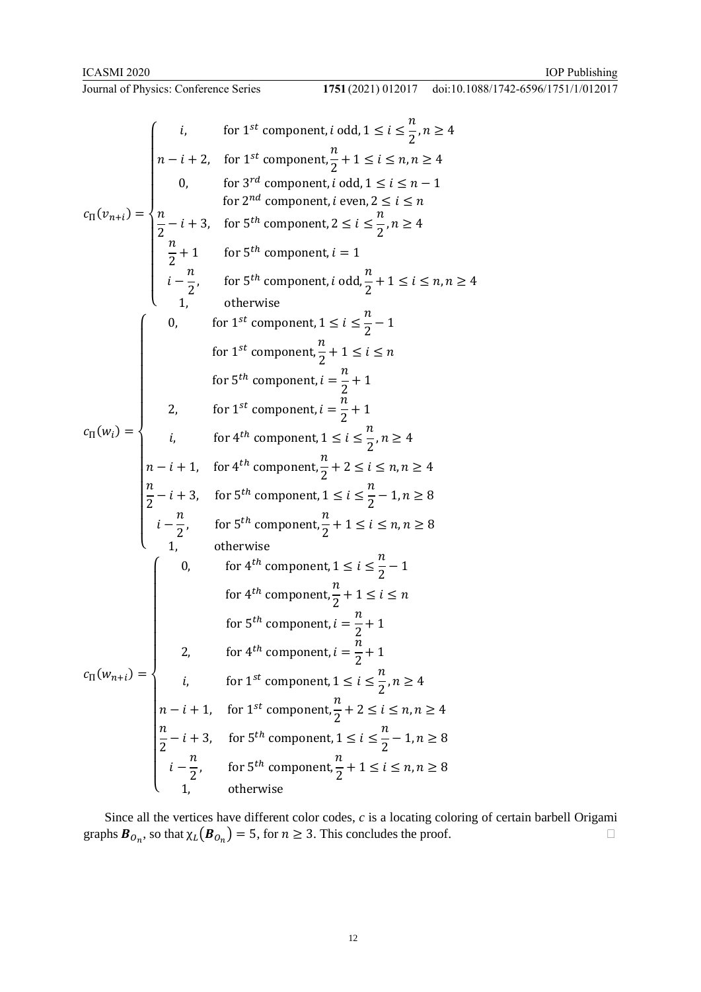IOP Publishing

# **Journal of Physics: Conference Series**

doi:10.1088/1742-6596/1751/1/012017

$$
c_{\Pi}(v_{n+i}) = \begin{cases}\ni, & \text{for } 1^{st} \text{ component, } i \text{ odd, } 1 \leq i \leq \frac{n}{2}, n \geq 4 \\
n-i+2, & \text{for } 1^{st} \text{ component, } i \text{ odd, } 1 \leq i \leq n, n \geq 4 \\
0, & \text{for } 3^{rd} \text{ component, } i \text{ even, } 2 \leq i \leq n-1 \\
\hline\n2 - i + 3, & \text{for } 5^{th} \text{ component, } i \geq i \leq \frac{n}{2}, n \geq 4 \\
\hline\n\frac{n}{2} + 1 & \text{for } 5^{th} \text{ component, } i = 1 \\
i - \frac{n}{2}, & \text{for } 5^{th} \text{ component, } i \text{ odd, } \frac{n}{2} + 1 \leq i \leq n, n \geq 4 \\
1, & \text{otherwise}\n\end{cases}
$$
\n
$$
c_{\Pi}(w_i) = \begin{cases}\n0, & \text{for } 1^{st} \text{ component, } i \leq i \leq \frac{n}{2} - 1 \\
0, & \text{for } 1^{st} \text{ component, } i \leq i \leq \frac{n}{2} - 1 \\
0, & \text{for } 1^{st} \text{ component, } i \leq i \leq n\n\end{cases}
$$
\n
$$
c_{\Pi}(w_i) = \begin{cases}\n0, & \text{for } 1^{st} \text{ component, } i \leq i \leq n, n \geq 4 \\
i, & \text{for } 4^{th} \text{ component, } 1 \leq i \leq \frac{n}{2}, n \geq 4 \\
\hline\nn - i + 1, & \text{for } 4^{th} \text{ component, } 1 \leq i \leq \frac{n}{2} - 1, n \geq 8 \\
i - \frac{n}{2}, & \text{for } 5^{th} \text{ component, } 1 \leq i \leq \frac{n}{2} - 1, n \geq 8 \\
1, & \text{otherwise}\n\end{cases}
$$
\n
$$
c_{\Pi}(w_{n+i}) = \begin{cases}\n0, & \text{for } 4^{th} \text{ component, } 1 \leq i \leq \frac{n}{2} - 1, n \geq 8 \\
0, & \text{otherwise}\n\end{cases}
$$
\n
$$
c_{\Pi}(w_{n
$$

Since all the vertices have different color codes, *c* is a locating coloring of certain barbell Origami graphs  $\mathbf{B}_{O_n}$ , so that  $\chi_L(\mathbf{B}_{O_n}) = 5$ , for  $n \geq 3$ . This concludes the proof.